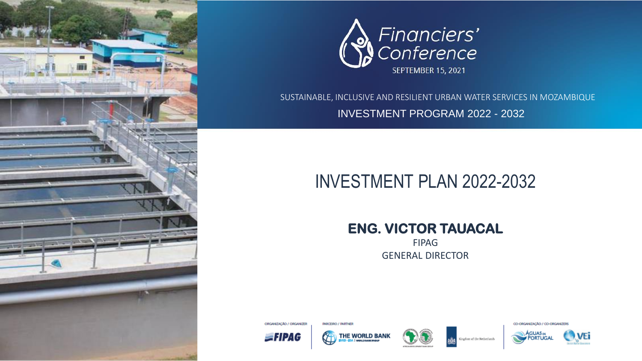



SUSTAINABLE, INCLUSIVE AND RESILIENT URBAN WATER SERVICES IN MOZAMBIQUE INVESTMENT PROGRAM 2022 - 2032

# INVESTMENT PLAN 2022-2032

## **ENG. VICTOR TAUACAL**

FIPAG GENERAL DIRECTOR

ORGANIZAÇÃO / ORGANIZER

*PARCEIRO / PARTNER* 







CO-ORGANIZAÇÃO / CO-ORGANIZERS

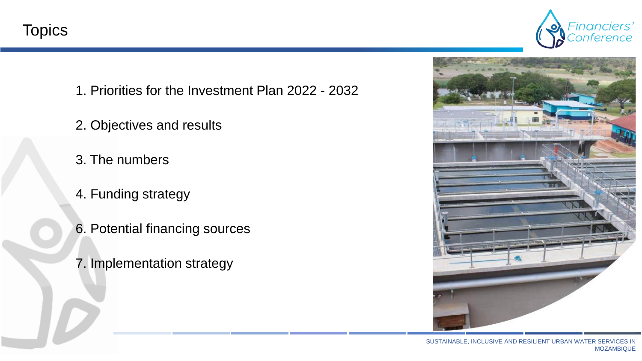- 1. Priorities for the Investment Plan 2022 2032
- 2. Objectives and results
- 3. The numbers
- 4. Funding strategy
- 6. Potential financing sources
- 7. Implementation strategy



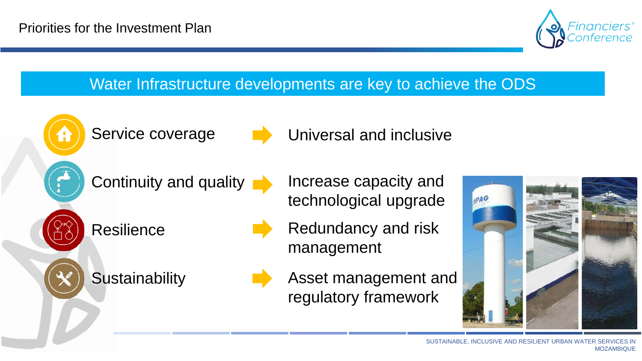

### Water Infrastructure developments are key to achieve the ODS



Service coverage



### Universal and inclusive



Continuity and quality

Increase capacity and technological upgrade

**Resilience** 

Redundancy and risk management

Sustainability **Asset management and** regulatory framework

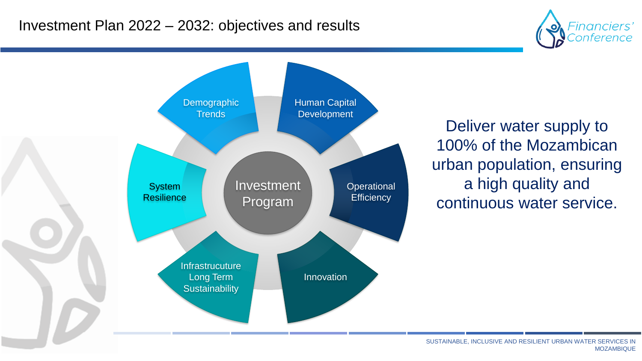### Investment Plan 2022 – 2032: objectives and results





Deliver water supply to 100% of the Mozambican urban population, ensuring a high quality and continuous water service.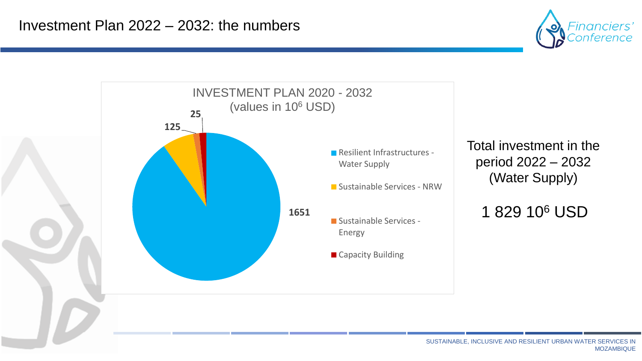



SUSTAINABLE, INCLUSIVE AND RESILIENT URBAN WATER SERVICES IN MOZAMBIQUE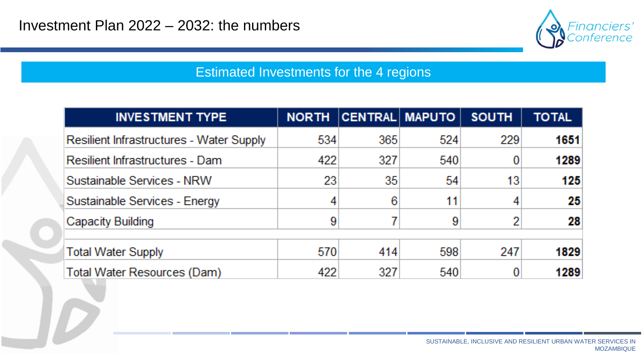

### Estimated Investments for the 4 regions

| <b>INVESTMENT TYPE</b>                   | <b>NORTH</b> | <b>CENTRAL</b> | <b>MAPUTO</b> | <b>SOUTH</b> | <b>TOTAL</b> |
|------------------------------------------|--------------|----------------|---------------|--------------|--------------|
| Resilient Infrastructures - Water Supply | 534          | 365            | 524           | 229          | 1651         |
| <b>Resilient Infrastructures - Dam</b>   | 422          | 327            | 540           |              | 1289         |
| Sustainable Services - NRW               | 23           | 35             | 54            | 13           | 125          |
| Sustainable Services - Energy            | 4            | 6              | 11            |              | 25           |
| <b>Capacity Building</b>                 | 9            |                | 9             | - 1          | 28           |
|                                          |              |                |               |              |              |
| <b>Total Water Supply</b>                | 570          | 414            | 598           | 247          | 1829         |
| Total Water Resources (Dam)              | 422          | 327            | 540           |              | 1289         |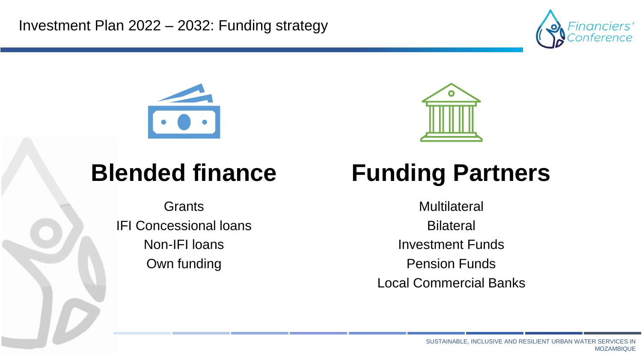





# **Blended finance**

**Grants** IFI Concessional loans Non-IFI loans Own funding

# **Funding Partners**

**Multilateral** Bilateral Investment Funds Pension Funds Local Commercial Banks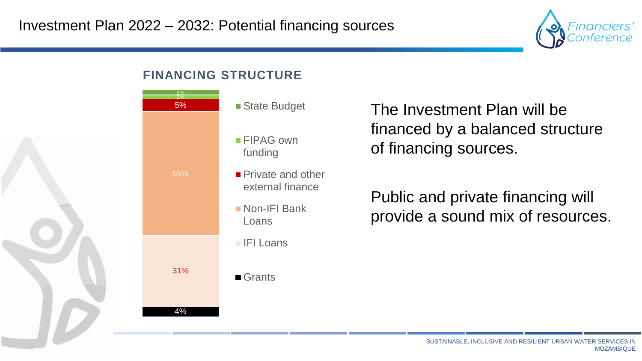

#### **FINANCING STRUCTURE**





The Investment Plan will be financed by a balanced structure of financing sources.

Public and private financing will provide a sound mix of resources.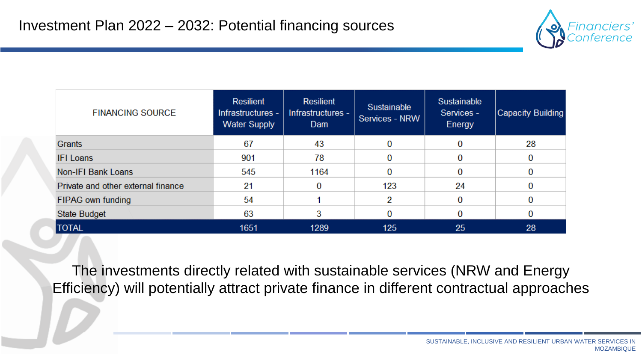

| <b>FINANCING SOURCE</b>            | Resilient<br>Infrastructures -<br><b>Water Supply</b> | Resilient<br>Infrastructures -<br>Dam | Sustainable<br>Services - NRW | Sustainable<br>Services -<br>Energy | Capacity Building |
|------------------------------------|-------------------------------------------------------|---------------------------------------|-------------------------------|-------------------------------------|-------------------|
| <b>Grants</b>                      | 67                                                    | 43                                    | 0                             | 0                                   | 28                |
| <b>IFI Loans</b>                   | 901                                                   | 78                                    | 0                             | 0                                   | 0                 |
| <b>Non-IFI Bank Loans</b>          | 545                                                   | 1164                                  | 0                             | 0                                   |                   |
| Private and other external finance | 21                                                    | 0                                     | 123                           | 24                                  |                   |
| FIPAG own funding                  | 54                                                    |                                       | 2                             | 0                                   |                   |
| <b>State Budget</b>                | 63                                                    | 3                                     | 0                             |                                     |                   |
| <b>TOTAL</b>                       | 1651                                                  | 1289                                  | 125                           | 25                                  | 28                |

The investments directly related with sustainable services (NRW and Energy Efficiency) will potentially attract private finance in different contractual approaches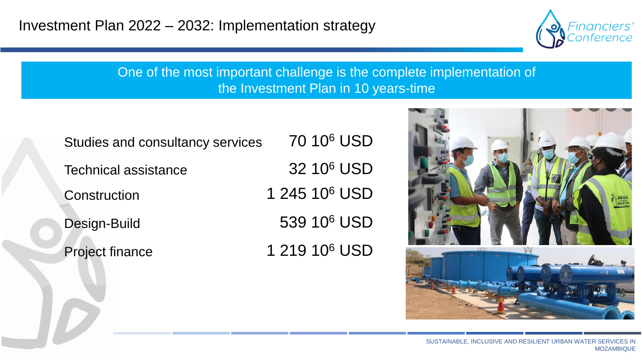

#### One of the most important challenge is the complete implementation of the Investment Plan in 10 years-time

Studies and consultancy services Technical assistance **Construction** Design-Build Project finance 70 10<sup>6</sup> USD 32 10<sup>6</sup> USD 1 245 10<sup>6</sup> USD 539 10<sup>6</sup> USD 1 219 10<sup>6</sup> USD

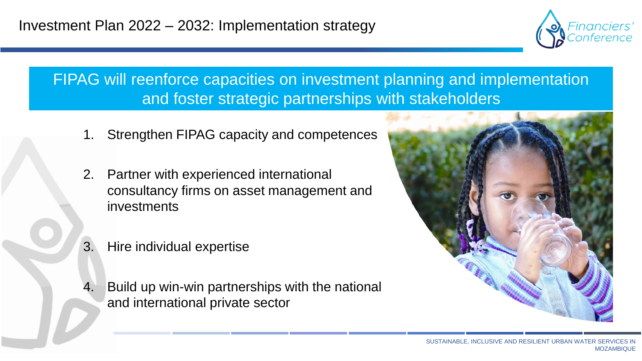

## FIPAG will reenforce capacities on investment planning and implementation and foster strategic partnerships with stakeholders

- Strengthen FIPAG capacity and competences
- 2. Partner with experienced international consultancy firms on asset management and investments
- 3. Hire individual expertise
- 4. Build up win-win partnerships with the national and international private sector

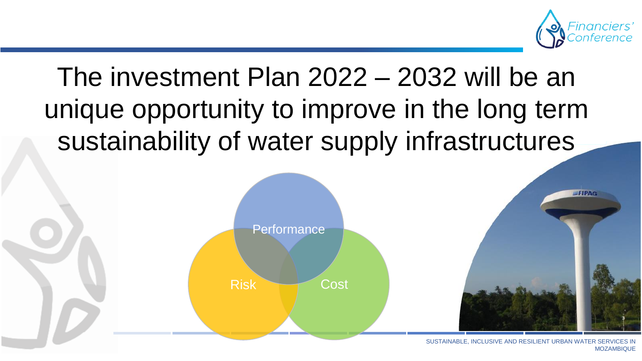

# The investment Plan 2022 – 2032 will be an unique opportunity to improve in the long term sustainability of water supply infrastructures